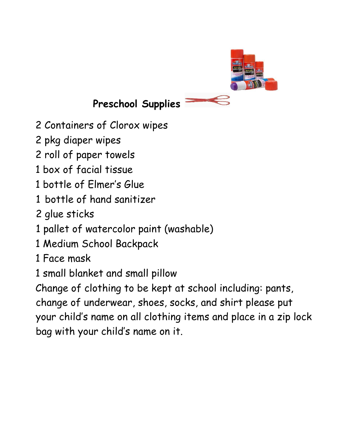

## **Preschool Supplies**

- 2 Containers of Clorox wipes
- 2 pkg diaper wipes
- 2 roll of paper towels
- 1 box of facial tissue
- 1 bottle of Elmer's Glue
- 1 bottle of hand sanitizer
- 2 glue sticks
- 1 pallet of watercolor paint (washable)
- 1 Medium School Backpack
- 1 Face mask
- 1 small blanket and small pillow

Change of clothing to be kept at school including: pants, change of underwear, shoes, socks, and shirt please put your child's name on all clothing items and place in a zip lock bag with your child's name on it.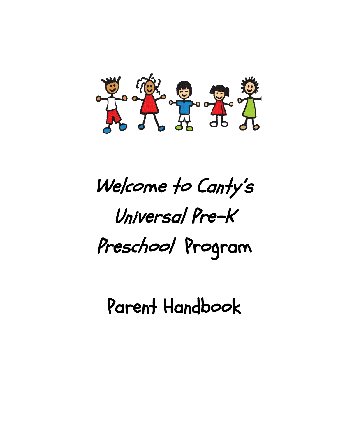

# Welcome to Canty's Universal Pre-K Preschool Program

Parent Handbook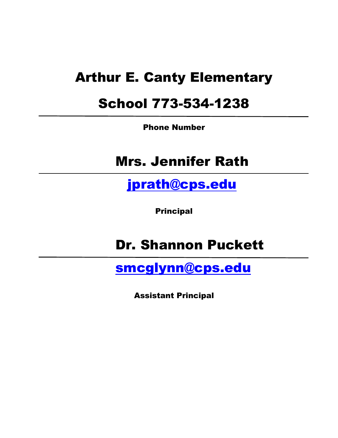## Arthur E. Canty Elementary

## School 773-534-1238

Phone Number

## Mrs. Jennifer Rath

[jprath@cps.edu](mailto:jprath@cps.edu)

Principal

## Dr. Shannon Puckett

[smcglynn@cps.edu](mailto:smcglynn@cps.edu)

Assistant Principal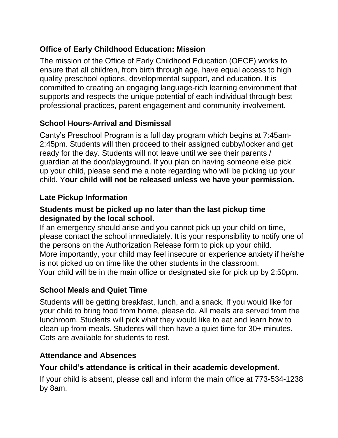### **Office of Early Childhood Education: Mission**

The mission of the Office of Early Childhood Education (OECE) works to ensure that all children, from birth through age, have equal access to high quality preschool options, developmental support, and education. It is committed to creating an engaging language-rich learning environment that supports and respects the unique potential of each individual through best professional practices, parent engagement and community involvement.

#### **School Hours-Arrival and Dismissal**

Canty's Preschool Program is a full day program which begins at 7:45am-2:45pm. Students will then proceed to their assigned cubby/locker and get ready for the day. Students will not leave until we see their parents / guardian at the door/playground. If you plan on having someone else pick up your child, please send me a note regarding who will be picking up your child. Y**our child will not be released unless we have your permission.**

#### **Late Pickup Information**

#### **Students must be picked up no later than the last pickup time designated by the local school.**

If an emergency should arise and you cannot pick up your child on time, please contact the school immediately. It is your responsibility to notify one of the persons on the Authorization Release form to pick up your child. More importantly, your child may feel insecure or experience anxiety if he/she is not picked up on time like the other students in the classroom. Your child will be in the main office or designated site for pick up by 2:50pm.

#### **School Meals and Quiet Time**

Students will be getting breakfast, lunch, and a snack. If you would like for your child to bring food from home, please do. All meals are served from the lunchroom. Students will pick what they would like to eat and learn how to clean up from meals. Students will then have a quiet time for 30+ minutes. Cots are available for students to rest.

#### **Attendance and Absences**

#### **Your child's attendance is critical in their academic development.**

If your child is absent, please call and inform the main office at 773-534-1238 by 8am.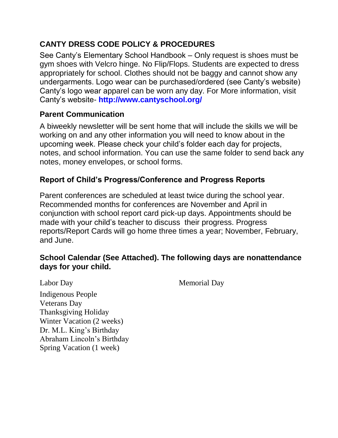### **CANTY DRESS CODE POLICY & PROCEDURES**

See Canty's Elementary School Handbook – Only request is shoes must be gym shoes with Velcro hinge. No Flip/Flops. Students are expected to dress appropriately for school. Clothes should not be baggy and cannot show any undergarments. Logo wear can be purchased/ordered (see Canty's website) Canty's logo wear apparel can be worn any day. For More information, visit Canty's website- **<http://www.cantyschool.org/>**

#### **Parent Communication**

A biweekly newsletter will be sent home that will include the skills we will be working on and any other information you will need to know about in the upcoming week. Please check your child's folder each day for projects, notes, and school information. You can use the same folder to send back any notes, money envelopes, or school forms.

#### **Report of Child's Progress/Conference and Progress Reports**

Parent conferences are scheduled at least twice during the school year. Recommended months for conferences are November and April in conjunction with school report card pick-up days. Appointments should be made with your child's teacher to discuss their progress. Progress reports/Report Cards will go home three times a year; November, February, and June.

#### **School Calendar (See Attached). The following days are nonattendance days for your child.**

Labor Day Memorial Day

Indigenous People Veterans Day Thanksgiving Holiday Winter Vacation (2 weeks) Dr. M.L. King's Birthday Abraham Lincoln's Birthday Spring Vacation (1 week)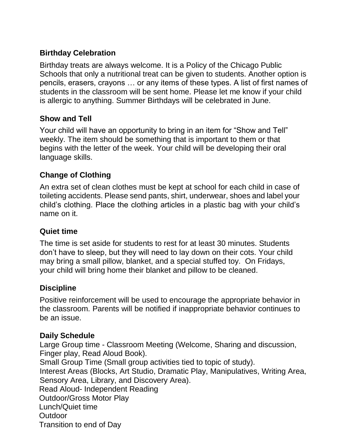#### **Birthday Celebration**

Birthday treats are always welcome. It is a Policy of the Chicago Public Schools that only a nutritional treat can be given to students. Another option is pencils, erasers, crayons … or any items of these types. A list of first names of students in the classroom will be sent home. Please let me know if your child is allergic to anything. Summer Birthdays will be celebrated in June.

#### **Show and Tell**

Your child will have an opportunity to bring in an item for "Show and Tell" weekly. The item should be something that is important to them or that begins with the letter of the week. Your child will be developing their oral language skills.

#### **Change of Clothing**

An extra set of clean clothes must be kept at school for each child in case of toileting accidents. Please send pants, shirt, underwear, shoes and label your child's clothing. Place the clothing articles in a plastic bag with your child's name on it.

#### **Quiet time**

The time is set aside for students to rest for at least 30 minutes. Students don't have to sleep, but they will need to lay down on their cots. Your child may bring a small pillow, blanket, and a special stuffed toy. On Fridays, your child will bring home their blanket and pillow to be cleaned.

#### **Discipline**

Positive reinforcement will be used to encourage the appropriate behavior in the classroom. Parents will be notified if inappropriate behavior continues to be an issue.

#### **Daily Schedule**

Large Group time - Classroom Meeting (Welcome, Sharing and discussion, Finger play, Read Aloud Book). Small Group Time (Small group activities tied to topic of study).

Interest Areas (Blocks, Art Studio, Dramatic Play, Manipulatives, Writing Area, Sensory Area, Library, and Discovery Area). Read Aloud- Independent Reading Outdoor/Gross Motor Play Lunch/Quiet time Outdoor Transition to end of Day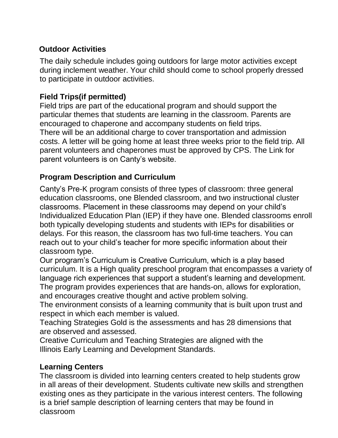#### **Outdoor Activities**

The daily schedule includes going outdoors for large motor activities except during inclement weather. Your child should come to school properly dressed to participate in outdoor activities.

#### **Field Trips(if permitted)**

Field trips are part of the educational program and should support the particular themes that students are learning in the classroom. Parents are encouraged to chaperone and accompany students on field trips. There will be an additional charge to cover transportation and admission costs. A letter will be going home at least three weeks prior to the field trip. All parent volunteers and chaperones must be approved by CPS. The Link for parent volunteers is on Canty's website.

#### **Program Description and Curriculum**

Canty's Pre-K program consists of three types of classroom: three general education classrooms, one Blended classroom, and two instructional cluster classrooms. Placement in these classrooms may depend on your child's Individualized Education Plan (IEP) if they have one. Blended classrooms enroll both typically developing students and students with IEPs for disabilities or delays. For this reason, the classroom has two full-time teachers. You can reach out to your child's teacher for more specific information about their classroom type.

Our program's Curriculum is Creative Curriculum, which is a play based curriculum. It is a High quality preschool program that encompasses a variety of language rich experiences that support a student's learning and development.

The program provides experiences that are hands-on, allows for exploration, and encourages creative thought and active problem solving.

The environment consists of a learning community that is built upon trust and respect in which each member is valued.

Teaching Strategies Gold is the assessments and has 28 dimensions that are observed and assessed.

Creative Curriculum and Teaching Strategies are aligned with the Illinois Early Learning and Development Standards.

#### **Learning Centers**

The classroom is divided into learning centers created to help students grow in all areas of their development. Students cultivate new skills and strengthen existing ones as they participate in the various interest centers. The following is a brief sample description of learning centers that may be found in classroom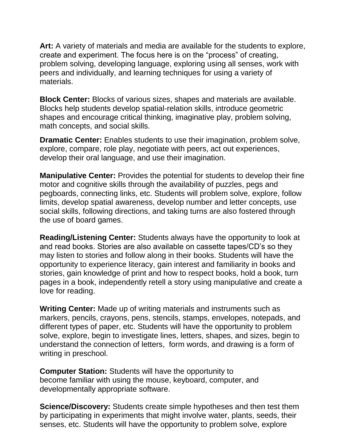**Art:** A variety of materials and media are available for the students to explore, create and experiment. The focus here is on the "process" of creating, problem solving, developing language, exploring using all senses, work with peers and individually, and learning techniques for using a variety of materials.

**Block Center:** Blocks of various sizes, shapes and materials are available. Blocks help students develop spatial-relation skills, introduce geometric shapes and encourage critical thinking, imaginative play, problem solving, math concepts, and social skills.

**Dramatic Center:** Enables students to use their imagination, problem solve, explore, compare, role play, negotiate with peers, act out experiences, develop their oral language, and use their imagination.

**Manipulative Center:** Provides the potential for students to develop their fine motor and cognitive skills through the availability of puzzles, pegs and pegboards, connecting links, etc. Students will problem solve, explore, follow limits, develop spatial awareness, develop number and letter concepts, use social skills, following directions, and taking turns are also fostered through the use of board games.

**Reading/Listening Center:** Students always have the opportunity to look at and read books. Stories are also available on cassette tapes/CD's so they may listen to stories and follow along in their books. Students will have the opportunity to experience literacy, gain interest and familiarity in books and stories, gain knowledge of print and how to respect books, hold a book, turn pages in a book, independently retell a story using manipulative and create a love for reading.

**Writing Center:** Made up of writing materials and instruments such as markers, pencils, crayons, pens, stencils, stamps, envelopes, notepads, and different types of paper, etc. Students will have the opportunity to problem solve, explore, begin to investigate lines, letters, shapes, and sizes, begin to understand the connection of letters, form words, and drawing is a form of writing in preschool.

**Computer Station:** Students will have the opportunity to become familiar with using the mouse, keyboard, computer, and developmentally appropriate software.

**Science/Discovery:** Students create simple hypotheses and then test them by participating in experiments that might involve water, plants, seeds, their senses, etc. Students will have the opportunity to problem solve, explore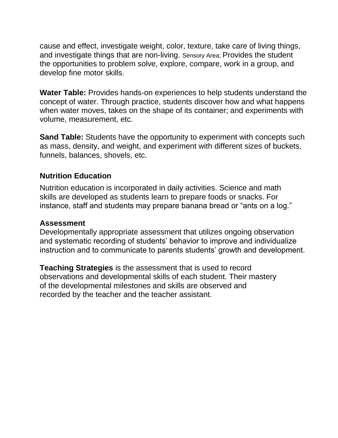cause and effect, investigate weight, color, texture, take care of living things, and investigate things that are non-living. Sensory Area; Provides the student the opportunities to problem solve, explore, compare, work in a group, and develop fine motor skills.

**Water Table:** Provides hands-on experiences to help students understand the concept of water. Through practice, students discover how and what happens when water moves, takes on the shape of its container; and experiments with volume, measurement, etc.

**Sand Table:** Students have the opportunity to experiment with concepts such as mass, density, and weight, and experiment with different sizes of buckets, funnels, balances, shovels, etc.

#### **Nutrition Education**

Nutrition education is incorporated in daily activities. Science and math skills are developed as students learn to prepare foods or snacks. For instance, staff and students may prepare banana bread or "ants on a log."

#### **Assessment**

Developmentally appropriate assessment that utilizes ongoing observation and systematic recording of students' behavior to improve and individualize instruction and to communicate to parents students' growth and development.

**Teaching Strategies** is the assessment that is used to record observations and developmental skills of each student. Their mastery of the developmental milestones and skills are observed and recorded by the teacher and the teacher assistant.